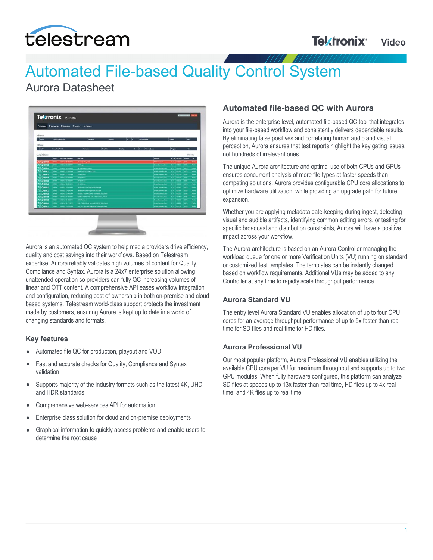

# Automated File-based Quality Control System

## Aurora Datasheet



Aurora is an automated QC system to help media providers drive efficiency, quality and cost savings into their workflows. Based on Telestream expertise, Aurora reliably validates high volumes of content for Quality, Compliance and Syntax. Aurora is a 24x7 enterprise solution allowing unattended operation so providers can fully QC increasing volumes of linear and OTT content. A comprehensive API eases workflow integration and configuration, reducing cost of ownership in both on-premise and cloud based systems. Telestream world-class support protects the investment made by customers, ensuring Aurora is kept up to date in a world of changing standards and formats.

#### **Key features**

- Automated file QC for production, playout and VOD
- Fast and accurate checks for Quality, Compliance and Syntax validation
- Supports majority of the industry formats such as the latest 4K, UHD  $\bullet$ and HDR standards
- Comprehensive web-services API for automation
- Enterprise class solution for cloud and on-premise deployments
- Graphical information to quickly access problems and enable users to  $\bullet$ determine the root cause

### **Automated file-based QC with Aurora**

Aurora is the enterprise level, automated file-based QC tool that integrates into your file-based workflow and consistently delivers dependable results. By eliminating false positives and correlating human audio and visual perception, Aurora ensures that test reports highlight the key gating issues, not hundreds of irrelevant ones.

The unique Aurora architecture and optimal use of both CPUs and GPUs ensures concurrent analysis of more file types at faster speeds than competing solutions. Aurora provides configurable CPU core allocations to optimize hardware utilization, while providing an upgrade path for future expansion.

Whether you are applying metadata gate-keeping during ingest, detecting visual and audible artifacts, identifying common editing errors, or testing for specific broadcast and distribution constraints, Aurora will have a positive impact across your workflow.

The Aurora architecture is based on an Aurora Controller managing the workload queue for one or more Verification Units (VU) running on standard or customized test templates. The templates can be instantly changed based on workflow requirements. Additional VUs may be added to any Controller at any time to rapidly scale throughput performance.

#### **Aurora Standard VU**

The entry level Aurora Standard VU enables allocation of up to four CPU cores for an average throughput performance of up to 5x faster than real time for SD files and real time for HD files.

#### **Aurora Professional VU**

Our most popular platform, Aurora Professional VU enables utilizing the available CPU core per VU for maximum throughput and supports up to two GPU modules. When fully hardware configured, this platform can analyze SD files at speeds up to 13x faster than real time, HD files up to 4x real time, and 4K files up to real time.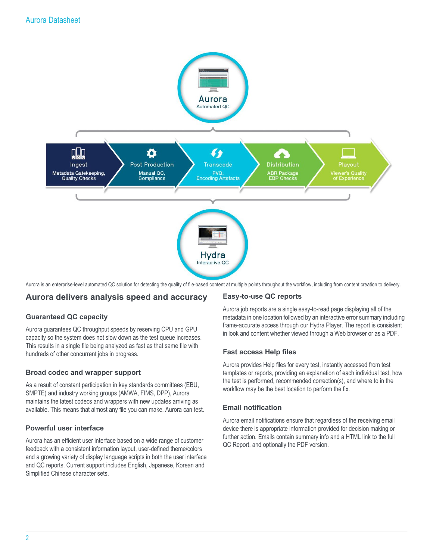

Aurora is an enterprise-level automated QC solution for detecting the quality of file-based content at multiple points throughout the workflow, including from content creation to delivery.

### **Aurora delivers analysis speed and accuracy**

#### **Guaranteed QC capacity**

Aurora guarantees QC throughput speeds by reserving CPU and GPU capacity so the system does not slow down as the test queue increases. This results in a single file being analyzed as fast as that same file with hundreds of other concurrent jobs in progress.

#### **Broad codec and wrapper support**

As a result of constant participation in key standards committees (EBU, SMPTE) and industry working groups (AMWA, FIMS, DPP), Aurora maintains the latest codecs and wrappers with new updates arriving as available. This means that almost any file you can make, Aurora can test.

#### **Powerful user interface**

Aurora has an efficient user interface based on a wide range of customer feedback with a consistent information layout, user-defined theme/colors and a growing variety of display language scripts in both the user interface and QC reports. Current support includes English, Japanese, Korean and Simplified Chinese character sets.

#### **Easy-to-use QC reports**

Aurora job reports are a single easy-to-read page displaying all of the metadata in one location followed by an interactive error summary including frame-accurate access through our Hydra Player. The report is consistent in look and content whether viewed through a Web browser or as a PDF.

#### **Fast access Help files**

Aurora provides Help files for every test, instantly accessed from test templates or reports, providing an explanation of each individual test, how the test is performed, recommended correction(s), and where to in the workflow may be the best location to perform the fix.

#### **Email notification**

Aurora email notifications ensure that regardless of the receiving email device there is appropriate information provided for decision making or further action. Emails contain summary info and a HTML link to the full QC Report, and optionally the PDF version.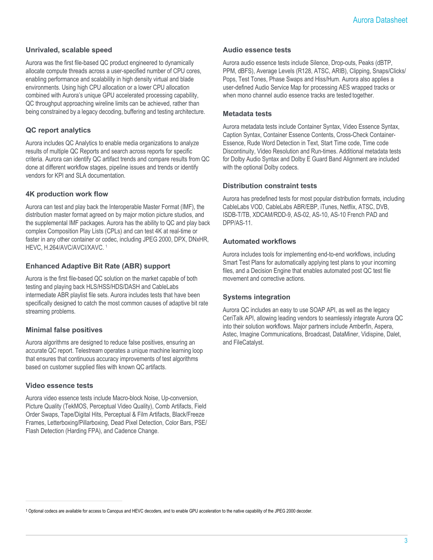#### **Unrivaled, scalable speed**

Aurora was the first file-based QC product engineered to dynamically allocate compute threads across a user-specified number of CPU cores, enabling performance and scalability in high density virtual and blade environments. Using high CPU allocation or a lower CPU allocation combined with Aurora's unique GPU accelerated processing capability, QC throughput approaching wireline limits can be achieved, rather than being constrained by a legacy decoding, buffering and testing architecture.

#### **QC report analytics**

Aurora includes QC Analytics to enable media organizations to analyze results of multiple QC Reports and search across reports for specific criteria. Aurora can identify QC artifact trends and compare results from QC done at different workflow stages, pipeline issues and trends or identify vendors for KPI and SLA documentation.

#### **4K production work flow**

Aurora can test and play back the Interoperable Master Format (IMF), the distribution master format agreed on by major motion picture studios, and the supplemental IMF packages. Aurora has the ability to QC and play back complex Composition Play Lists (CPLs) and can test 4K at real-time or faster in any other container or codec, including JPEG 2000, DPX, DNxHR, HEVC, H.264/AVC/AVCI/XAVC. <sup>1</sup>

#### **Enhanced Adaptive Bit Rate (ABR) support**

Aurora is the first file-based QC solution on the market capable of both testing and playing back HLS/HSS/HDS/DASH and CableLabs intermediate ABR playlist file sets. Aurora includes tests that have been specifically designed to catch the most common causes of adaptive bit rate streaming problems.

#### **Minimal false positives**

Aurora algorithms are designed to reduce false positives, ensuring an accurate QC report. Telestream operates a unique machine learning loop that ensures that continuous accuracy improvements of test algorithms based on customer supplied files with known QC artifacts.

#### **Video essence tests**

Aurora video essence tests include Macro-block Noise, Up-conversion, Picture Quality (TekMOS, Perceptual Video Quality), Comb Artifacts, Field Order Swaps, Tape/Digital Hits, Perceptual & Film Artifacts, Black/Freeze Frames, Letterboxing/Pillarboxing, Dead Pixel Detection, Color Bars, PSE/ Flash Detection (Harding FPA), and Cadence Change.

#### **Audio essence tests**

Aurora audio essence tests include Silence, Drop-outs, Peaks (dBTP, PPM, dBFS), Average Levels (R128, ATSC, ARIB), Clipping, Snaps/Clicks/ Pops, Test Tones, Phase Swaps and Hiss/Hum. Aurora also applies a user-defined Audio Service Map for processing AES wrapped tracks or when mono channel audio essence tracks are tested together.

#### **Metadata tests**

Aurora metadata tests include Container Syntax, Video Essence Syntax, Caption Syntax, Container Essence Contents, Cross-Check Container-Essence, Rude Word Detection in Text, Start Time code, Time code Discontinuity, Video Resolution and Run-times. Additional metadata tests for Dolby Audio Syntax and Dolby E Guard Band Alignment are included with the optional Dolby codecs.

#### **Distribution constraint tests**

Aurora has predefined tests for most popular distribution formats, including CableLabs VOD, CableLabs ABR/EBP, iTunes, Netflix, ATSC, DVB, ISDB-T/TB, XDCAM/RDD-9, AS-02, AS-10, AS-10 French PAD and DPP/AS-11.

#### **Automated workflows**

Aurora includes tools for implementing end-to-end workflows, including Smart Test Plans for automatically applying test plans to your incoming files, and a Decision Engine that enables automated post QC test file movement and corrective actions.

#### **Systems integration**

Aurora QC includes an easy to use SOAP API, as well as the legacy CeriTalk API, allowing leading vendors to seamlessly integrate Aurora QC into their solution workflows. Major partners include Amberfin, Aspera, Astec, Imagine Communications, Broadcast, DataMiner, Vidispine, Dalet, and FileCatalyst.

1 Optional codecs are available for access to Canopus and HEVC decoders, and to enable GPU acceleration to the native capability of the JPEG 2000 decoder.